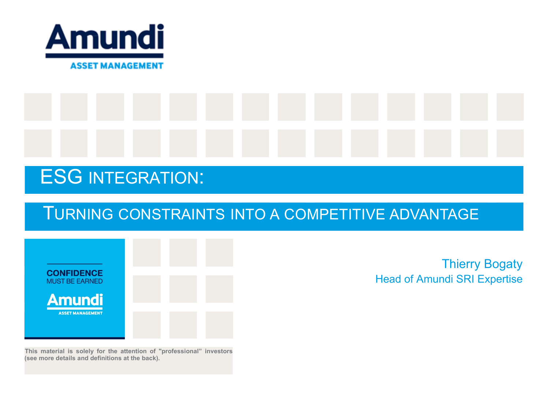

# ESG INTEGRATION:

## TURNING CONSTRAINTS INTO A COMPETITIVE ADVANTAGE



**This material is solely for the attention of "professional" investors (see more details and definitions at the back).**

Thierry Bogaty Head of Amundi SRI Expertise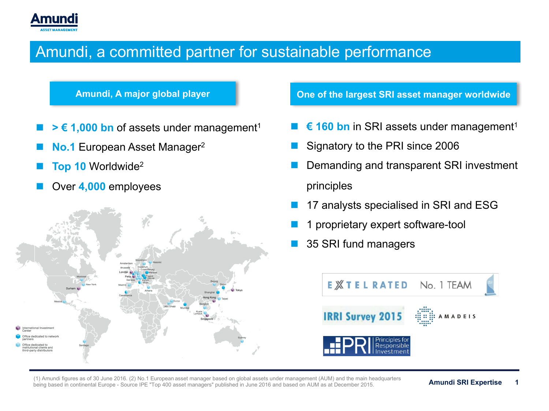

#### Amundi, a committed partner for sustainable performance

- $\geq \epsilon$  1,000 bn of assets under management<sup>1</sup>
- **No.1** European Asset Manager<sup>2</sup>
- **Top 10 Worldwide<sup>2</sup>**
- Over **4,000** employees



**Amundi, A major global player One of the largest SRI asset manager worldwide**

- € 160 bn in SRI assets under management<sup>1</sup>
- Signatory to the PRI since 2006
- Demanding and transparent SRI investment principles
- 17 analysts specialised in SRI and ESG
- 1 proprietary expert software-tool
- 35 SRI fund managers



(1) Amundi figures as of 30 June 2016. (2) No.1 European asset manager based on global assets under management (AUM) and the main headquarters being based in continental Europe - Source IPE "Top 400 asset managers" published in June 2016 and based on AUM as at December 2015.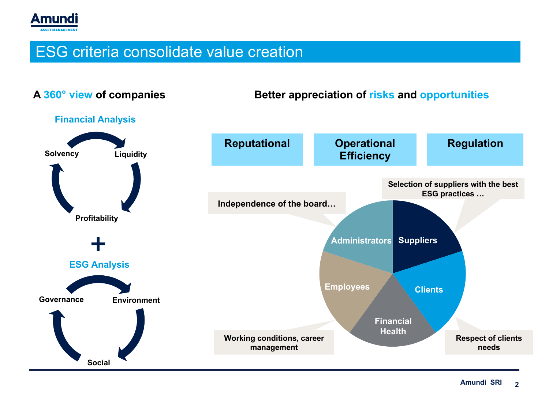

#### ESG criteria consolidate value creation

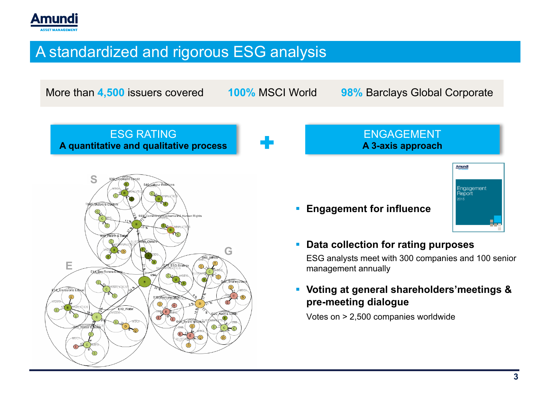

### A standardized and rigorous ESG analysis

More than **4,500** issuers covered **100%** MSCI World **98%** Barclays Global Corporate

ESG RATING **A quantitative and qualitative process**



ENGAGEMENT **A 3-axis approach**



§ **Engagement for influence**



- 
- § **Data collection for rating purposes**

ESG analysts meet with 300 companies and 100 senior management annually

§ **Voting at general shareholders'meetings & pre-meeting dialogue**

Votes on > 2,500 companies worldwide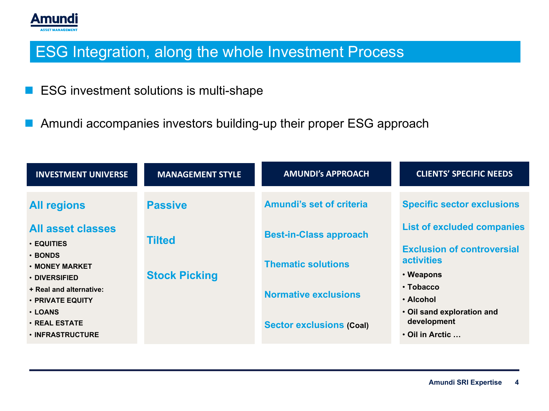

### ESG Integration, along the whole Investment Process

- ESG investment solutions is multi-shape
- Amundi accompanies investors building-up their proper ESG approach

| <b>INVESTMENT UNIVERSE</b>                                                                                                         | <b>MANAGEMENT STYLE</b>                                 | <b>AMUNDI's APPROACH</b>                                                                      | <b>CLIENTS' SPECIFIC NEEDS</b>                                                                                                                |
|------------------------------------------------------------------------------------------------------------------------------------|---------------------------------------------------------|-----------------------------------------------------------------------------------------------|-----------------------------------------------------------------------------------------------------------------------------------------------|
| <b>All regions</b><br><b>All asset classes</b><br>$\cdot$ EQUITIES<br>$\cdot$ BONDS<br>$\cdot$ MONEY MARKET<br>$\cdot$ DIVERSIFIED | <b>Passive</b><br><b>Tilted</b><br><b>Stock Picking</b> | <b>Amundi's set of criteria</b><br><b>Best-in-Class approach</b><br><b>Thematic solutions</b> | <b>Specific sector exclusions</b><br><b>List of excluded companies</b><br><b>Exclusion of controversial</b><br><b>activities</b><br>• Weapons |
| + Real and alternative:<br>• PRIVATE EQUITY<br><b>· LOANS</b><br><b>· REAL ESTATE</b><br><b>· INFRASTRUCTURE</b>                   |                                                         | <b>Normative exclusions</b><br><b>Sector exclusions (Coal)</b>                                | $\cdot$ Tobacco<br>• Alcohol<br>. Oil sand exploration and<br>development<br>$\cdot$ Oil in Arctic $\ldots$                                   |